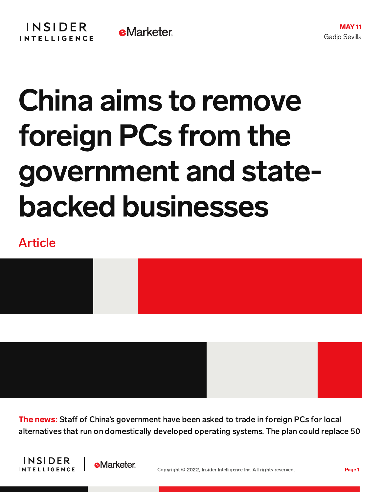## China aims to remove foreign PCs from the government and statebacked businesses

## Article



**The news:** Staff of China's government have been asked to trade in foreign PCs for local alternatives that run on domestically developed operating systems. The plan could replace 50



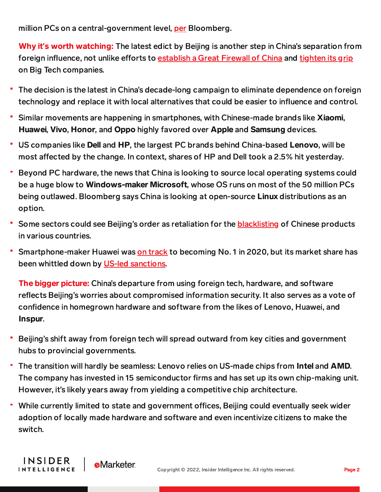million PCs on a central-government level, [per](https://www.bloomberg.com/news/articles/2022-05-06/china-orders-government-state-firms-to-dump-foreign-pcs) Bloomberg.

Why it**'**s worth watching: The latest edict by Beijing is another step in China's separation from foreign influence, not unlike efforts to [establish](https://content-na2.emarketer.com/china-clamping-down-on-ai-algorithms-that-run-its-apps-internet-services) a Great Firewall of China and [tighten](https://content-na2.emarketer.com/where-china-s-big-tech-antitrust-crackdown-headed-next) its grip on Big Tech companies.

- The decision is the latest in China's decade-long campaign to eliminate dependence on foreign technology and replace it with local alternatives that could be easier to influence and control.
- Similar movements are happening in smartphones, with Chinese-made brands like Xiaomi, Huawei, Vivo, Honor, and Oppo highly favored over Apple and Samsung devices.
- US companies like Dell and HP, the largest PC brands behind China-based Lenovo, will be most affected by the change. In context, shares of HP and Dell took a 2.5% hit yesterday.
- Beyond PC hardware, the news that China is looking to source local operating systems could be a huge blow to Windows-maker Microsoft, whose OS runs on most of the 50 million PCs being outlawed. Bloomberg says China is looking at open-source Linux distributions as an option.
- Some sectors could see Beijing's order as retaliation for the [blacklisting](https://content-na2.emarketer.com/us-government-blacklists-drone-maker-dji-7-other-chinese-companies) of Chinese products in various countries.
- Smartphone-maker Huawei was on [track](https://www.businessinsider.com/huawei-beats-samsung-apple-smartphone-market-q2-2020-7) to becoming No. 1 in 2020, but its market share has been whittled down by US-led [sanctions.](https://content-na2.emarketer.com/huawei-reports-38-drop-revenues-due-continued-blowback-us-led-sanctions)

**The bigger picture:** China's departure from using foreign tech, hardware, and software reflects Beijing's worries about compromised information security. It also serves as a vote of confidence in homegrown hardware and software from the likes of Lenovo, Huawei, and Inspur.

- Beijing's shift away from foreign tech will spread outward from key cities and government hubs to provincial governments.
- The transition will hardly be seamless: Lenovo relies on US-made chips from Intel and AMD. The company has invested in 15 semiconductor firms and has set up its own chip-making unit. However, it's likely years away from yielding a competitive chip architecture.
- ۳ While currently limited to state and government offices, Beijing could eventually seek wider adoption of locally made hardware and software and even incentivize citizens to make the switch.

**INSIDER** 

**INTELLIGENCE** 

**e**Marketer